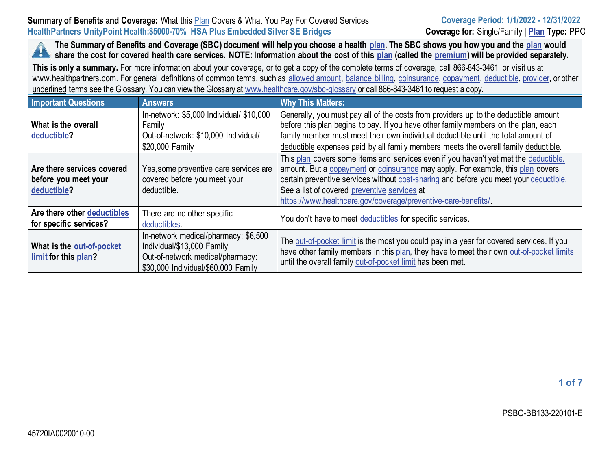**The Summary of Benefits and Coverage (SBC) document will help you choose a health [plan.](https://www.healthcare.gov/sbc-glossary/#plan) The SBC shows you how you and the [plan](https://www.healthcare.gov/sbc-glossary/#plan) would k a** share the cost for covered health care services. NOTE: Information about the cost of this [plan](https://www.healthcare.gov/sbc-glossary/#plan) (called the [premium\)](https://www.healthcare.gov/sbc-glossary/#premium) will be provided separately.

**This is only a summary.** For more information about your coverage, or to get a copy of the complete terms of coverage, call 866-843-3461 or visit us at www.healthpartners.com. For general definitions of common terms, such as [allowed amount,](https://www.healthcare.gov/sbc-glossary/#allowed-amount) [balance billing,](https://www.healthcare.gov/sbc-glossary/#balance-billing) [coinsurance,](https://www.healthcare.gov/sbc-glossary/#coinsurance) [copayment,](https://www.healthcare.gov/sbc-glossary/#copayment) [deductible,](https://www.healthcare.gov/sbc-glossary/#deductible) [provider,](https://www.healthcare.gov/sbc-glossary/#provider) or other underlined terms see the Glossary. You can view the Glossary a[t www.healthcare.gov/sbc-glossary](https://www.healthcare.gov/sbc-glossary) or call 866-843-3461 to request a copy.

| <b>Important Questions</b>                                        | <b>Answers</b>                                                                                                                                | <b>Why This Matters:</b>                                                                                                                                                                                                                                                                                                                                                          |
|-------------------------------------------------------------------|-----------------------------------------------------------------------------------------------------------------------------------------------|-----------------------------------------------------------------------------------------------------------------------------------------------------------------------------------------------------------------------------------------------------------------------------------------------------------------------------------------------------------------------------------|
| What is the overall<br>deductible?                                | In-network: \$5,000 Individual/ \$10,000<br>Family<br>Out-of-network: \$10,000 Individual/<br>\$20,000 Family                                 | Generally, you must pay all of the costs from providers up to the deductible amount<br>before this plan begins to pay. If you have other family members on the plan, each<br>family member must meet their own individual deductible until the total amount of<br>deductible expenses paid by all family members meets the overall family deductible.                             |
| Are there services covered<br>before you meet your<br>deductible? | Yes, some preventive care services are<br>covered before you meet your<br>deductible.                                                         | This plan covers some items and services even if you haven't yet met the deductible.<br>amount. But a copayment or coinsurance may apply. For example, this plan covers<br>certain preventive services without cost-sharing and before you meet your deductible.<br>See a list of covered preventive services at<br>https://www.healthcare.gov/coverage/preventive-care-benefits/ |
| Are there other deductibles<br>for specific services?             | There are no other specific<br>deductibles.                                                                                                   | You don't have to meet deductibles for specific services.                                                                                                                                                                                                                                                                                                                         |
| What is the out-of-pocket<br>limit for this plan?                 | In-network medical/pharmacy: \$6,500<br>Individual/\$13,000 Family<br>Out-of-network medical/pharmacy:<br>\$30,000 Individual/\$60,000 Family | The out-of-pocket limit is the most you could pay in a year for covered services. If you<br>have other family members in this plan, they have to meet their own out-of-pocket limits<br>until the overall family out-of-pocket limit has been met.                                                                                                                                |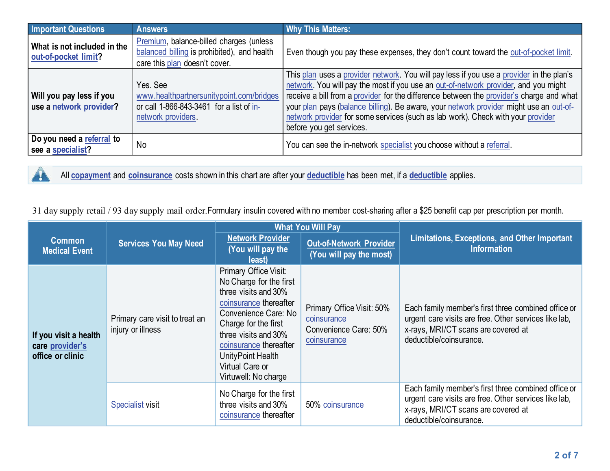| <b>Important Questions</b>                          | <b>Answers</b>                                                                                                          | <b>Why This Matters:</b>                                                                                                                                                                                                                                                                                                                                                                                                                                                             |
|-----------------------------------------------------|-------------------------------------------------------------------------------------------------------------------------|--------------------------------------------------------------------------------------------------------------------------------------------------------------------------------------------------------------------------------------------------------------------------------------------------------------------------------------------------------------------------------------------------------------------------------------------------------------------------------------|
| What is not included in the<br>out-of-pocket limit? | Premium, balance-billed charges (unless<br>balanced billing is prohibited), and health<br>care this plan doesn't cover. | Even though you pay these expenses, they don't count toward the out-of-pocket limit.                                                                                                                                                                                                                                                                                                                                                                                                 |
| Will you pay less if you<br>use a network provider? | Yes, See<br>www.healthpartnersunitypoint.com/bridges<br>or call 1-866-843-3461 for a list of in-<br>network providers.  | This plan uses a provider network. You will pay less if you use a provider in the plan's<br>network. You will pay the most if you use an out-of-network provider, and you might<br>receive a bill from a provider for the difference between the provider's charge and what<br>your plan pays (balance billing). Be aware, your network provider might use an out-of-<br>network provider for some services (such as lab work). Check with your provider<br>before you get services. |
| Do you need a referral to<br>see a specialist?      | No                                                                                                                      | You can see the in-network specialist you choose without a referral.                                                                                                                                                                                                                                                                                                                                                                                                                 |

 $\mathbf{r}$ 

All **[copayment](https://www.healthcare.gov/sbc-glossary/#copayment)** and **[coinsurance](https://www.healthcare.gov/sbc-glossary/#coinsurance)** costs shown in this chart are after your **[deductible](https://www.healthcare.gov/sbc-glossary/#deductible)** has been met, if a **[deductible](https://www.healthcare.gov/sbc-glossary/#deductible)** applies.

31 day supply retail / 93 day supply mail order.Formulary insulin covered with no member cost-sharing after a \$25 benefit cap per prescription per month.

|                                                              |                                                     |                                                                                                                                                                                                                                                                      | <b>What You Will Pay</b>                                                         |                                                                                                                                                                                |
|--------------------------------------------------------------|-----------------------------------------------------|----------------------------------------------------------------------------------------------------------------------------------------------------------------------------------------------------------------------------------------------------------------------|----------------------------------------------------------------------------------|--------------------------------------------------------------------------------------------------------------------------------------------------------------------------------|
| <b>Common</b><br><b>Medical Event</b>                        | <b>Services You May Need</b>                        | <b>Network Provider</b><br>(You will pay the<br>least)                                                                                                                                                                                                               | <b>Out-of-Network Provider</b><br>(You will pay the most)                        | Limitations, Exceptions, and Other Important<br><b>Information</b>                                                                                                             |
| If you visit a health<br>care provider's<br>office or clinic | Primary care visit to treat an<br>injury or illness | Primary Office Visit:<br>No Charge for the first<br>three visits and 30%<br>coinsurance thereafter<br>Convenience Care: No<br>Charge for the first<br>three visits and 30%<br>coinsurance thereafter<br>UnityPoint Health<br>Virtual Care or<br>Virtuwell: No charge | Primary Office Visit: 50%<br>coinsurance<br>Convenience Care: 50%<br>coinsurance | Each family member's first three combined office or<br>urgent care visits are free. Other services like lab,<br>x-rays, MRI/CT scans are covered at<br>deductible/coinsurance. |
|                                                              | <b>Specialist visit</b>                             | No Charge for the first<br>three visits and 30%<br>coinsurance thereafter                                                                                                                                                                                            | 50% coinsurance                                                                  | Each family member's first three combined office or<br>urgent care visits are free. Other services like lab,<br>x-rays, MRI/CT scans are covered at<br>deductible/coinsurance. |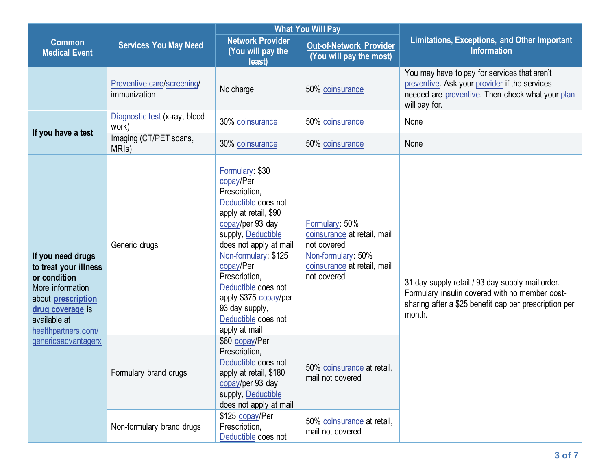|                                                                                                                                                                        |                                              |                                                                                                                                                                                                                                                                                                                                   | <b>What You Will Pay</b>                                                                                                         |                                                                                                                                                                       |  |
|------------------------------------------------------------------------------------------------------------------------------------------------------------------------|----------------------------------------------|-----------------------------------------------------------------------------------------------------------------------------------------------------------------------------------------------------------------------------------------------------------------------------------------------------------------------------------|----------------------------------------------------------------------------------------------------------------------------------|-----------------------------------------------------------------------------------------------------------------------------------------------------------------------|--|
| <b>Common</b><br><b>Medical Event</b>                                                                                                                                  | <b>Services You May Need</b>                 | <b>Network Provider</b><br>(You will pay the<br>least)                                                                                                                                                                                                                                                                            | <b>Out-of-Network Provider</b><br>(You will pay the most)                                                                        | <b>Limitations, Exceptions, and Other Important</b><br><b>Information</b>                                                                                             |  |
|                                                                                                                                                                        | Preventive care/screening/<br>immunization   | No charge                                                                                                                                                                                                                                                                                                                         | 50% coinsurance                                                                                                                  | You may have to pay for services that aren't<br>preventive. Ask your provider if the services<br>needed are preventive. Then check what your plan<br>will pay for.    |  |
|                                                                                                                                                                        | Diagnostic test (x-ray, blood<br>work)       | 30% coinsurance                                                                                                                                                                                                                                                                                                                   | 50% coinsurance                                                                                                                  | None                                                                                                                                                                  |  |
| If you have a test                                                                                                                                                     | Imaging (CT/PET scans,<br>MRI <sub>s</sub> ) | 30% coinsurance                                                                                                                                                                                                                                                                                                                   | 50% coinsurance                                                                                                                  | None                                                                                                                                                                  |  |
| If you need drugs<br>to treat your illness<br>or condition<br>More information<br>about <b>prescription</b><br>drug coverage is<br>available at<br>healthpartners.com/ | Generic drugs                                | Formulary: \$30<br>copay/Per<br>Prescription,<br>Deductible does not<br>apply at retail, \$90<br>copay/per 93 day<br>supply, Deductible<br>does not apply at mail<br>Non-formulary: \$125<br>copay/Per<br>Prescription,<br>Deductible does not<br>apply \$375 copay/per<br>93 day supply,<br>Deductible does not<br>apply at mail | Formulary: 50%<br>coinsurance at retail, mail<br>not covered<br>Non-formulary: 50%<br>coinsurance at retail, mail<br>not covered | 31 day supply retail / 93 day supply mail order.<br>Formulary insulin covered with no member cost-<br>sharing after a \$25 benefit cap per prescription per<br>month. |  |
| genericsadvantagerx                                                                                                                                                    | Formulary brand drugs                        | \$60 copay/Per<br>Prescription,<br>Deductible does not<br>apply at retail, \$180<br>copay/per 93 day<br>supply, Deductible<br>does not apply at mail                                                                                                                                                                              | 50% coinsurance at retail,<br>mail not covered                                                                                   |                                                                                                                                                                       |  |
|                                                                                                                                                                        | Non-formulary brand drugs                    | \$125 copay/Per<br>Prescription,<br>Deductible does not                                                                                                                                                                                                                                                                           | 50% coinsurance at retail,<br>mail not covered                                                                                   |                                                                                                                                                                       |  |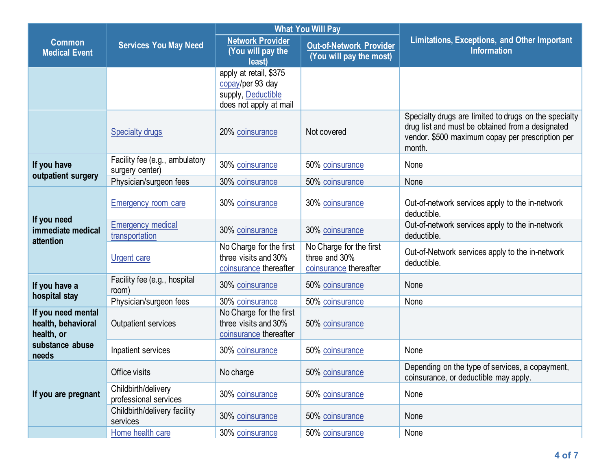|                                                        |                                                   |                                                                                            | <b>What You Will Pay</b>                                           |                                                                                                                                                                         |
|--------------------------------------------------------|---------------------------------------------------|--------------------------------------------------------------------------------------------|--------------------------------------------------------------------|-------------------------------------------------------------------------------------------------------------------------------------------------------------------------|
| <b>Common</b><br><b>Medical Event</b>                  | <b>Services You May Need</b>                      | <b>Network Provider</b><br>(You will pay the<br>least)                                     | Out-of-Network Provider<br>(You will pay the most)                 | <b>Limitations, Exceptions, and Other Important</b><br><b>Information</b>                                                                                               |
|                                                        |                                                   | apply at retail, \$375<br>copay/per 93 day<br>supply, Deductible<br>does not apply at mail |                                                                    |                                                                                                                                                                         |
|                                                        | <b>Specialty drugs</b>                            | 20% coinsurance                                                                            | Not covered                                                        | Specialty drugs are limited to drugs on the specialty<br>drug list and must be obtained from a designated<br>vendor. \$500 maximum copay per prescription per<br>month. |
| If you have<br>outpatient surgery                      | Facility fee (e.g., ambulatory<br>surgery center) | 30% coinsurance                                                                            | 50% coinsurance                                                    | None                                                                                                                                                                    |
|                                                        | Physician/surgeon fees                            | 30% coinsurance                                                                            | 50% coinsurance                                                    | None                                                                                                                                                                    |
| If you need<br>immediate medical<br>attention          | <b>Emergency room care</b>                        | 30% coinsurance                                                                            | 30% coinsurance                                                    | Out-of-network services apply to the in-network<br>deductible.                                                                                                          |
|                                                        | <b>Emergency medical</b><br>transportation        | 30% coinsurance                                                                            | 30% coinsurance                                                    | Out-of-network services apply to the in-network<br>deductible.                                                                                                          |
|                                                        | <b>Urgent care</b>                                | No Charge for the first<br>three visits and 30%<br>coinsurance thereafter                  | No Charge for the first<br>three and 30%<br>coinsurance thereafter | Out-of-Network services apply to the in-network<br>deductible.                                                                                                          |
| If you have a<br>hospital stay                         | Facility fee (e.g., hospital<br>room)             | 30% coinsurance                                                                            | 50% coinsurance                                                    | None                                                                                                                                                                    |
|                                                        | Physician/surgeon fees                            | 30% coinsurance                                                                            | 50% coinsurance                                                    | None                                                                                                                                                                    |
| If you need mental<br>health, behavioral<br>health, or | Outpatient services                               | No Charge for the first<br>three visits and 30%<br>coinsurance thereafter                  | 50% coinsurance                                                    |                                                                                                                                                                         |
| substance abuse<br>needs                               | Inpatient services                                | 30% coinsurance                                                                            | 50% coinsurance                                                    | None                                                                                                                                                                    |
| If you are pregnant                                    | Office visits                                     | No charge                                                                                  | 50% coinsurance                                                    | Depending on the type of services, a copayment,<br>coinsurance, or deductible may apply.                                                                                |
|                                                        | Childbirth/delivery<br>professional services      | 30% coinsurance                                                                            | 50% coinsurance                                                    | None                                                                                                                                                                    |
|                                                        | Childbirth/delivery facility<br>services          | 30% coinsurance                                                                            | 50% coinsurance                                                    | None                                                                                                                                                                    |
|                                                        | Home health care                                  | 30% coinsurance                                                                            | 50% coinsurance                                                    | None                                                                                                                                                                    |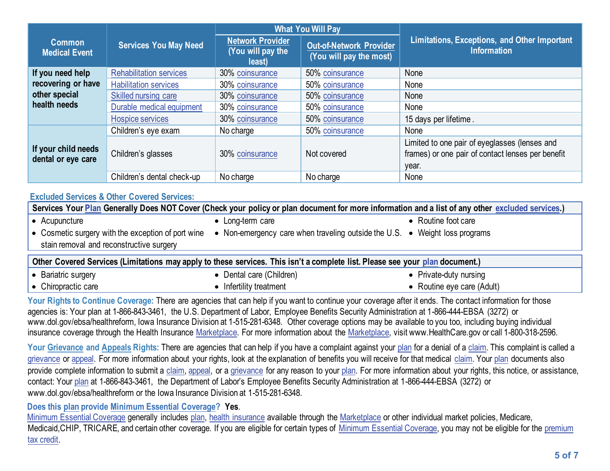|                                           |                                | <b>What You Will Pay</b>                               |                                                           |                                                                                                             |  |
|-------------------------------------------|--------------------------------|--------------------------------------------------------|-----------------------------------------------------------|-------------------------------------------------------------------------------------------------------------|--|
| <b>Common</b><br><b>Medical Event</b>     | <b>Services You May Need</b>   | <b>Network Provider</b><br>(You will pay the<br>least) | <b>Out-of-Network Provider</b><br>(You will pay the most) | Limitations, Exceptions, and Other Important<br><b>Information</b>                                          |  |
| If you need help                          | <b>Rehabilitation services</b> | 30% coinsurance                                        | 50% coinsurance                                           | None                                                                                                        |  |
| recovering or have                        | <b>Habilitation services</b>   | 30% coinsurance                                        | 50% coinsurance                                           | None                                                                                                        |  |
| other special                             | Skilled nursing care           | 30% coinsurance                                        | 50% coinsurance                                           | None                                                                                                        |  |
| health needs                              | Durable medical equipment      | 30% coinsurance                                        | 50% coinsurance                                           | None                                                                                                        |  |
|                                           | <b>Hospice services</b>        | 30% coinsurance                                        | 50% coinsurance                                           | 15 days per lifetime.                                                                                       |  |
|                                           | Children's eye exam            | No charge                                              | 50% coinsurance                                           | None                                                                                                        |  |
| If your child needs<br>dental or eye care | Children's glasses             | 30% coinsurance                                        | Not covered                                               | Limited to one pair of eyeglasses (lenses and<br>frames) or one pair of contact lenses per benefit<br>year. |  |
|                                           | Children's dental check-up     | No charge                                              | No charge                                                 | None                                                                                                        |  |

## **[Excluded Services](https://www.healthcare.gov/sbc-glossary/#excluded-services) & Other Covered Services:**

| Services Your Plan Generally Does NOT Cover (Check your policy or plan document for more information and a list of any other excluded services.) |                                                                             |                     |  |  |
|--------------------------------------------------------------------------------------------------------------------------------------------------|-----------------------------------------------------------------------------|---------------------|--|--|
| Acupuncture                                                                                                                                      | • Long-term care                                                            | • Routine foot care |  |  |
| $\bullet$ Cosmetic surgery with the exception of port wine<br>stain removal and reconstructive surgery                                           | • Non-emergency care when traveling outside the U.S. • Weight loss programs |                     |  |  |
| Other Covered Services (Limitations may apply to these services. This isn't a complete list. Please see your plan document.)                     |                                                                             |                     |  |  |
|                                                                                                                                                  |                                                                             |                     |  |  |

| Bariatric surgery<br>$\bullet$ | I care (Children)<br>$D$ ental | Private-duty nursing     |
|--------------------------------|--------------------------------|--------------------------|
| Chiropractic care<br>$\bullet$ | Infertility treatment          | Routine eye care (Adult) |

Your Rights to Continue Coverage: There are agencies that can help if you want to continue your coverage after it ends. The contact information for those agencies is: Your plan at 1-866-843-3461, the U.S. Department of Labor, Employee Benefits Security Administration at 1-866-444-EBSA (3272) or www.dol.gov/ebsa/healthreform, Iowa Insurance Division at 1-515-281-6348. Other coverage options may be available to you too, including buying individual insurance coverage through the Health Insurance [Marketplace.](https://www.healthcare.gov/sbc-glossary/#marketplace) For more information about the [Marketplace,](https://www.healthcare.gov/sbc-glossary/#marketplace) visit www.HealthCare.gov or call 1-800-318-2596.

Your Grievance an[d Appeals](https://www.healthcare.gov/sbc-glossary/#appeal) Rights: There are agencies that can help if you have a complaint against you[r plan](https://www.healthcare.gov/sbc-glossary/#plan) for a denial of [a claim.](https://www.healthcare.gov/sbc-glossary/#claim) This complaint is called a [grievance](https://www.healthcare.gov/sbc-glossary/#grievance) or [appeal.](https://www.healthcare.gov/sbc-glossary/#appeal) For more information about your rights, look at the explanation of benefits you will receive for that medical [claim.](https://www.healthcare.gov/sbc-glossary/#claim) You[r plan](https://www.healthcare.gov/sbc-glossary/#plan) documents also provide complete information to submit a [claim,](https://www.healthcare.gov/sbc-glossary/#claim) [appeal,](https://www.healthcare.gov/sbc-glossary/#appeal) or a [grievance](https://www.healthcare.gov/sbc-glossary/#grievance) for any reason to your [plan.](https://www.healthcare.gov/sbc-glossary/#plan) For more information about your rights, this notice, or assistance, contact: Your [plan](https://www.healthcare.gov/sbc-glossary/#plan) at 1-866-843-3461, the Department of Labor's Employee Benefits Security Administration at 1-866-444-EBSA (3272) or www.dol.gov/ebsa/healthreform or the Iowa Insurance Division at 1-515-281-6348.

## **Does this plan provide Minimum Essential Coverage? Yes**.

[Minimum Essential Coverage](https://www.healthcare.gov/sbc-glossary/#minimum-essential-coverage) generally includes [plan,](https://www.healthcare.gov/sbc-glossary/#plan) [health insurance](https://www.healthcare.gov/sbc-glossary/#health-insurance) available through the [Marketplace](https://www.healthcare.gov/sbc-glossary/#marketplace) or other individual market policies, Medicare, Medicaid, CHIP, TRICARE, and certain other coverage. If you are eligible for certain types of [Minimum Essential Coverage,](https://www.healthcare.gov/sbc-glossary/#minimum-essential-coverage) you may not be eligible for the premium [tax credit.](https://www.healthcare.gov/sbc-glossary/#premium-tax-credits)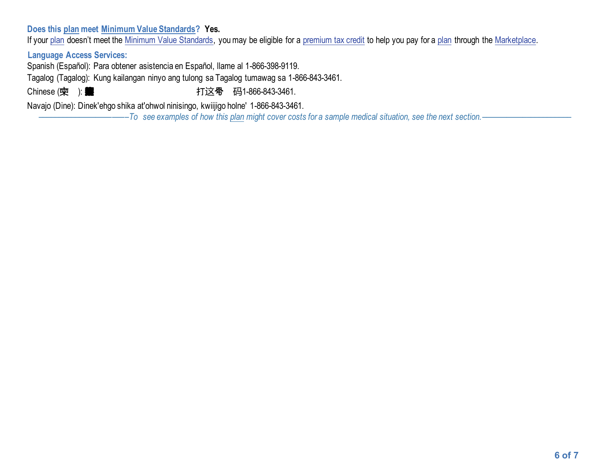## **Does this plan meet Minimum Value Standards? Yes.**

If your [plan](https://www.healthcare.gov/sbc-glossary/#plan) doesn't meet the [Minimum Value Standards,](https://www.healthcare.gov/sbc-glossary/#minimum-value-standard) you may be eligible for [a premium tax credit](https://www.healthcare.gov/sbc-glossary/#premium-tax-credits) to help you pay for a plan through the [Marketplace.](https://www.healthcare.gov/sbc-glossary/#marketplace)

**Language Access Services:**

Spanish (Español): Para obtener asistencia en Español, llame al 1-866-398-9119.

Tagalog (Tagalog): Kung kailangan ninyo ang tulong sa Tagalog tumawag sa 1-866-843-3461.

Chinese ( $\dot{\mathbf{\Psi}}$  ): **的某些事件, 第一个字 计这**个码1-866-843-3461.

Navajo (Dine): Dinek'ehgo shika at'ohwol ninisingo, kwiijigo holne' 1-866-843-3461.

––––––––––––––––––––––*To see examples of how thi[s plan](https://www.healthcare.gov/sbc-glossary/#plan) might cover costs for a sample medical situation, see the next section.–––––––––––*–––––––––––